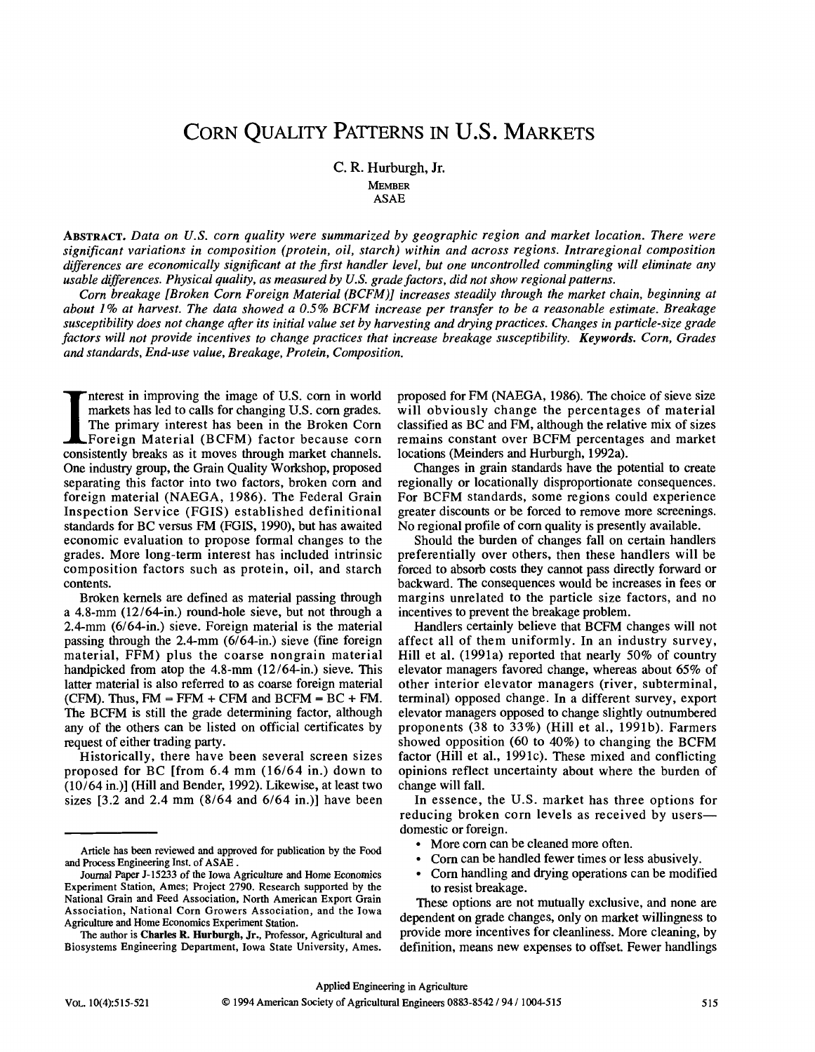# CORN QUALITY PATTERNS IN U.S. MARKETS

C. R. Hurburgh, Jr. MEMBER ASAE

ABSTRACT. *Data on U.S. corn quality were summarized by geographic region and market location. There were significant variations in composition (protein, oil, starch) within and across regions. Intraregional composition differences are economically significant at the first handler level, but one uncontrolled commingling will eliminate any usable differences. Physical quality, as measured by U.S. grade factors, did not show regional patterns.* 

*Corn breakage [Broken Corn Foreign Material (BCFM)] increases steadily through the market chain, beginning at about 1% at harvest. The data showed a 0.5% BCFM increase per transfer to be a reasonable estimate. Breakage susceptibility does not change after its initial value set by harvesting and drying practices. Changes in particle-size grade factors will not provide incentives to change practices that increase breakage susceptibility. Keywords. Corn, Grades and standards, End-use value, Breakage, Protein, Composition.* 

Interest in improving the image of U.S. corn in world<br>markets has led to calls for changing U.S. corn grades.<br>The primary interest has been in the Broken Corn<br>Foreign Material (BCFM) factor because corn<br>consistently breaks nterest in improving the image of U.S. corn in world markets has led to calls for changing U.S. corn grades. The primary interest has been in the Broken Corn Foreign Material (BCFM) factor because corn One industry group, the Grain Quality Workshop, proposed separating this factor into two factors, broken corn and foreign material (NAEGA, 1986). The Federal Grain Inspection Service (FGIS) established definitional standards for BC versus FM (FGIS, 1990), but has awaited economic evaluation to propose formal changes to the grades. More long-term interest has included intrinsic composition factors such as protein, oil, and starch contents.

Broken kernels are defined as material passing through a 4.8-mm (12/64-in.) round-hole sieve, but not through a 2.4-mm (6/64-in.) sieve. Foreign material is the material passing through the 2.4-mm (6/64-in.) sieve (fine foreign material, FFM) plus the coarse nongrain material handpicked from atop the 4.8-mm (12/64-in.) sieve. This latter material is also referred to as coarse foreign material (CFM). Thus,  $FM = FFM + CFM$  and  $BCFM = BC + FM$ . The BCFM is still the grade determining factor, although any of the others can be listed on official certificates by request of either trading party.

Historically, there have been several screen sizes proposed for BC [from 6.4 mm (16/64 in.) down to  $(10/64$  in.)] (Hill and Bender, 1992). Likewise, at least two sizes [3.2 and 2.4 mm (8/64 and 6/64 in.)] have been

proposed for FM (NAEGA, 1986). The choice of sieve size will obviously change the percentages of material classified as BC and FM, although the relative mix of sizes remains constant over BCFM percentages and market locations (Meinders and Hurburgh, 1992a).

Changes in grain standards have the potential to create regionally or locationally disproportionate consequences. For BCFM standards, some regions could experience greater discounts or be forced to remove more screenings. No regional profile of corn quality is presently available.

Should the burden of changes fall on certain handlers preferentially over others, then these handlers will be forced to absorb costs they cannot pass directly forward or backward. The consequences would be increases in fees or margins unrelated to the particle size factors, and no incentives to prevent the breakage problem.

Handlers certainly believe that BCFM changes will not affect all of them uniformly. In an industry survey, Hill et al. (1991a) reported that nearly 50% of country elevator managers favored change, whereas about 65% of other interior elevator managers (river, subterminal, terminal) opposed change. In a different survey, export elevator managers opposed to change slightly outnumbered proponents (38 to 33%) (Hill et al., 1991b). Farmers showed opposition (60 to 40%) to changing the BCFM factor (Hill et al., 1991c). These mixed and conflicting opinions reflect uncertainty about where the burden of change will fall.

In essence, the U.S. market has three options for reducing broken corn levels as received by users domestic or foreign.

- More corn can be cleaned more often.
- Corn can be handled fewer times or less abusively.
- Corn handling and drying operations can be modified to resist breakage.

These options are not mutually exclusive, and none are dependent on grade changes, only on market willingness to provide more incentives for cleanliness. More cleaning, by definition, means new expenses to offset. Fewer handlings

Article has been reviewed and approved for publication by the Food and Process Engineering Inst, of ASAE .

Journal Paper J-15233 of the Iowa Agriculture and Home Economics Experiment Station, Ames; Project 2790. Research supported by the National Grain and Feed Association, North American Export Grain Association, National Corn Growers Association, and the Iowa Agriculture and Home Economics Experiment Station.

The author is **Charles R. Hurburgh, Jr.,** Professor, Agricultural and Biosystems Engineering Department, Iowa State University, Ames.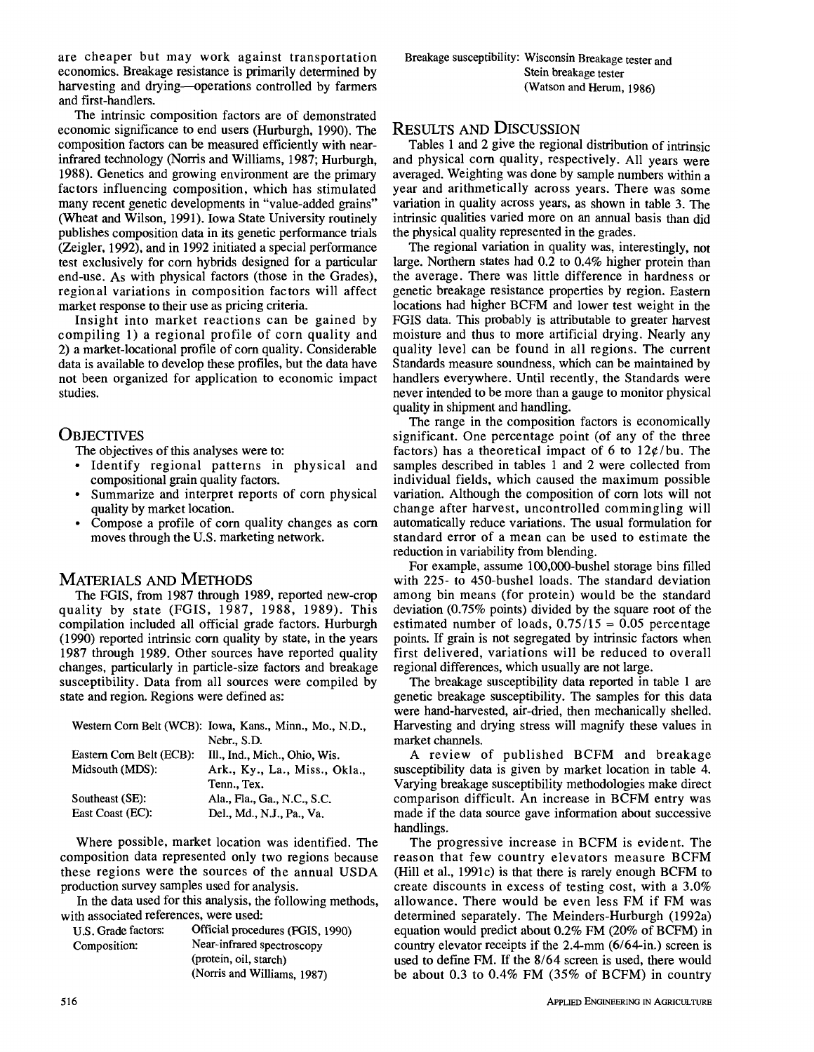are cheaper but may work against transportation economics. Breakage resistance is primarily determined by harvesting and drying—operations controlled by farmers and first-handlers.

The intrinsic composition factors are of demonstrated economic significance to end users (Hurburgh, 1990). The composition factors can be measured efficiently with nearinfrared technology (Norris and Williams, 1987; Hurburgh, 1988). Genetics and growing environment are the primary factors influencing composition, which has stimulated many recent genetic developments in "value-added grains" (Wheat and Wilson, 1991). Iowa State University routinely publishes composition data in its genetic performance trials (Zeigler, 1992), and in 1992 initiated a special performance test exclusively for corn hybrids designed for a particular end-use. As with physical factors (those in the Grades), regional variations in composition factors will affect market response to their use as pricing criteria.

Insight into market reactions can be gained by compiling 1) a regional profile of corn quality and 2) a market-locational profile of corn quality. Considerable data is available to develop these profiles, but the data have not been organized for application to economic impact studies.

### **OBJECTIVES**

The objectives of this analyses were to:

- Identify regional patterns in physical and compositional grain quality factors.
- Summarize and interpret reports of corn physical quality by market location.
- Compose a profile of corn quality changes as corn moves through the U.S. marketing network.

# MATERIALS AND METHODS

The FGIS, from 1987 through 1989, reported new-crop quality by state (FGIS, 1987, 1988, 1989). This compilation included all official grade factors. Hurburgh (1990) reported intrinsic corn quality by state, in the years 1987 through 1989. Other sources have reported quality changes, particularly in particle-size factors and breakage susceptibility. Data from all sources were compiled by state and region. Regions were defined as:

|                          | Western Corn Belt (WCB): Iowa, Kans., Minn., Mo., N.D., |
|--------------------------|---------------------------------------------------------|
|                          | Nebr., S.D.                                             |
| Eastern Corn Belt (ECB): | Ill., Ind., Mich., Ohio, Wis.                           |
| Midsouth (MDS):          | Ark., Ky., La., Miss., Okla.,                           |
|                          | Tenn Tex.                                               |
| Southeast (SE):          | Ala., Fla., Ga., N.C., S.C.                             |
| East Coast (EC):         | Del., Md., N.J., Pa., Va.                               |

Where possible, market location was identified. The composition data represented only two regions because these regions were the sources of the annual USDA production survey samples used for analysis.

In the data used for this analysis, the following methods, with associated references, were used:

| U.S. Grade factors: | Official procedures (FGIS, 1990) |
|---------------------|----------------------------------|
| Composition:        | Near-infrared spectroscopy       |
|                     | (protein, oil, starch)           |
|                     | (Norris and Williams, 1987)      |

# RESULTS AND DISCUSSION

Tables 1 and 2 give the regional distribution of intrinsic and physical corn quality, respectively. All years were averaged. Weighting was done by sample numbers within a year and arithmetically across years. There was some variation in quality across years, as shown in table 3. The intrinsic qualities varied more on an annual basis than did the physical quality represented in the grades.

The regional variation in quality was, interestingly, not large. Northern states had 0.2 to 0.4% higher protein than the average. There was little difference in hardness or genetic breakage resistance properties by region. Eastern locations had higher BCFM and lower test weight in the FGIS data. This probably is attributable to greater harvest moisture and thus to more artificial drying. Nearly any quality level can be found in all regions. The current Standards measure soundness, which can be maintained by handlers everywhere. Until recently, the Standards were never intended to be more than a gauge to monitor physical quality in shipment and handling.

The range in the composition factors is economically significant. One percentage point (of any of the three factors) has a theoretical impact of 6 to  $12\varphi$ /bu. The samples described in tables 1 and 2 were collected from individual fields, which caused the maximum possible variation. Although the composition of corn lots will not change after harvest, uncontrolled commingling will automatically reduce variations. The usual formulation for standard error of a mean can be used to estimate the reduction in variability from blending.

For example, assume 100,000-bushel storage bins filled with 225- to 450-bushel loads. The standard deviation among bin means (for protein) would be the standard deviation (0.75% points) divided by the square root of the estimated number of loads,  $0.75/15 = 0.05$  percentage points. If grain is not segregated by intrinsic factors when first delivered, variations will be reduced to overall regional differences, which usually are not large.

The breakage susceptibility data reported in table 1 are genetic breakage susceptibility. The samples for this data were hand-harvested, air-dried, then mechanically shelled. Harvesting and drying stress will magnify these values in market channels.

A review of published BCFM and breakage susceptibility data is given by market location in table 4. Varying breakage susceptibility methodologies make direct comparison difficult. An increase in BCFM entry was made if the data source gave information about successive handlings.

The progressive increase in BCFM is evident. The reason that few country elevators measure BCFM (Hill et al., 1991c) is that there is rarely enough BCFM to create discounts in excess of testing cost, with a 3.0% allowance. There would be even less FM if FM was determined separately. The Meinders-Hurburgh (1992a) equation would predict about 0.2% FM (20% of BCFM) in country elevator receipts if the 2.4-mm (6/64-in.) screen is used to define FM. If the 8/64 screen is used, there would be about 0.3 to 0.4% FM (35% of BCFM) in country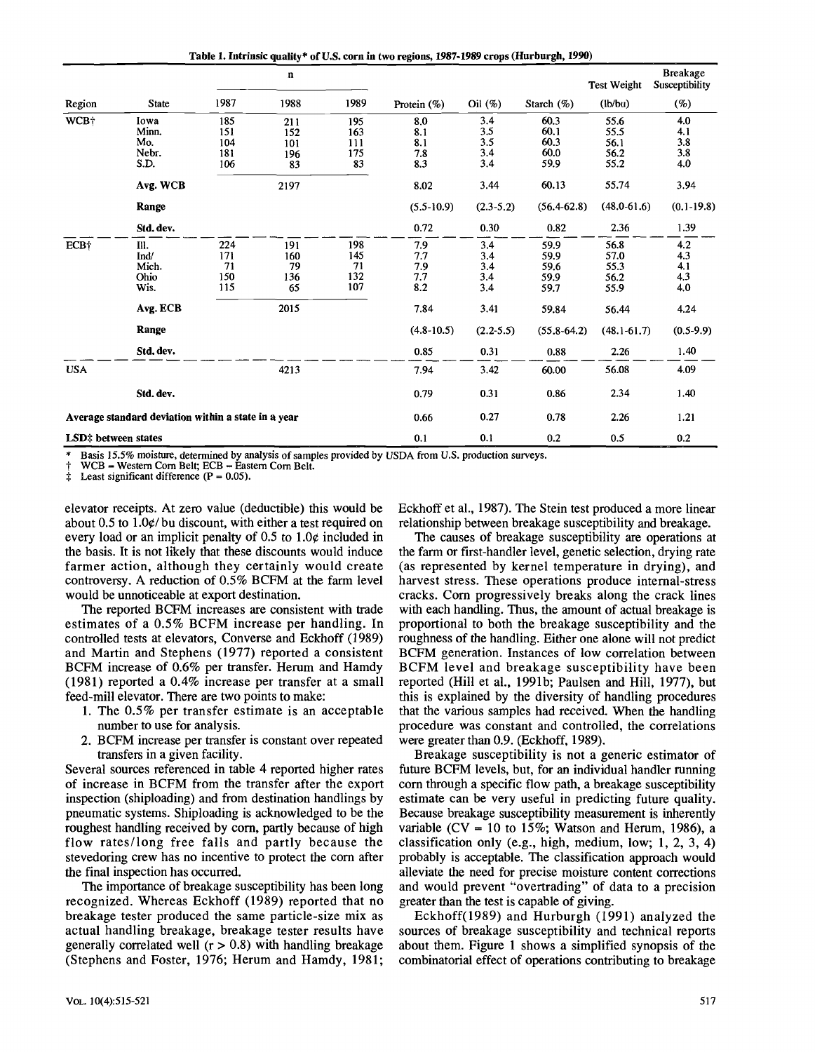**Table 1. Intrinsic quality\* of U.S. corn in two regions, 1987-1989 crops (Hurburgh, 1990)** 

|                     |                                                     |      | n    |      |                |               |                 | <b>Test Weight</b> | <b>Breakage</b><br>Susceptibility |
|---------------------|-----------------------------------------------------|------|------|------|----------------|---------------|-----------------|--------------------|-----------------------------------|
| Region              | <b>State</b>                                        | 1987 | 1988 | 1989 | Protein $(\%)$ | ceil(%)       | Starch $(\%)$   | (lb/bu)            | $(\%)$                            |
| WCB+                | Iowa                                                | 185  | 211  | 195  | 8,0            | 3.4           | 60.3            | 55.6               | 4.0                               |
|                     | Minn.                                               | 151  | 152  | 163  | 8.1            | 3.5           | 60.1            | 55.5               | 4.1                               |
|                     | Mo.                                                 | 104  | 101  | 111  | 8.1            | 3.5           | 60.3            | 56.1               | 3.8                               |
|                     | Nebr.                                               | 181  | 196  | 175  | 7.8            | 3.4           | 60.0            | 56.2               | 3.8                               |
|                     | S.D.                                                | 106  | 83   | 83   | 8.3            | 3.4           | 59.9            | 55.2               | 4.0                               |
|                     | Avg. WCB                                            |      | 2197 |      | 8.02           | 3.44          | 60.13           | 55.74              | 3.94                              |
|                     | Range                                               |      |      |      | $(5.5-10.9)$   | $(2.3 - 5.2)$ | $(56.4 - 62.8)$ | $(48.0 - 61.6)$    | $(0.1 - 19.8)$                    |
|                     | Std. dev.                                           |      |      |      | 0.72           | 0.30          | 0.82            | 2.36               | 1.39                              |
| ECB+                | III.                                                | 224  | 191  | 198  | 7.9            | 3.4           | 59.9            | 56.8               | 4.2                               |
|                     | Ind/                                                | 171  | 160  | 145  | 7.7            | 3.4           | 59.9            | 57.0               | 4.3                               |
|                     | Mich.                                               | 71   | 79   | 71   | 7.9            | 3.4           | 59.6            | 55.3               | 4.1                               |
|                     | Ohio                                                | 150  | 136  | 132  | 7.7            | 3.4           | 59.9            | 56.2               | 4.3                               |
|                     | Wis.                                                | 115  | 65   | 107  | 8.2            | 3.4           | 59.7            | 55.9               | 4.0                               |
|                     | Avg. ECB                                            |      | 2015 |      | 7.84           | 3.41          | 59.84           | 56.44              | 4.24                              |
|                     | Range                                               |      |      |      | $(4.8-10.5)$   | $(2.2 - 5.5)$ | $(55.8 - 64.2)$ | $(48.1 - 61.7)$    | $(0.5-9.9)$                       |
|                     | Std. dev.                                           |      |      |      | 0.85           | 0.31          | 0.88            | 2.26               | 1.40                              |
| <b>USA</b>          |                                                     |      | 4213 |      | 7.94           | 3.42          | 60.00           | 56.08              | 4.09                              |
|                     | Std. dev.                                           |      |      |      | 0.79           | 0.31          | 0.86            | 2.34               | 1.40                              |
|                     | Average standard deviation within a state in a year |      |      |      | 0.66           | 0.27          | 0.78            | 2.26               | 1.21                              |
| LSD‡ between states |                                                     |      |      |      | 0.1            | 0.1           | 0.2             | 0.5                | 0.2                               |

Basis 15.5% moisture, determined by analysis of samples provided by USDA from U.S. production surveys.

WCB - Western Corn Belt; ECB - Eastern Corn Belt.

Least significant difference  $(P = 0.05)$ .

elevator receipts. At zero value (deductible) this would be about 0.5 to  $1.0\frac{\epsilon}{\nu}$  bu discount, with either a test required on every load or an implicit penalty of  $0.5$  to  $1.0¢$  included in the basis. It is not likely that these discounts would induce farmer action, although they certainly would create controversy. A reduction of 0.5% BCFM at the farm level would be unnoticeable at export destination.

The reported BCFM increases are consistent with trade estimates of a 0.5% BCFM increase per handling. In controlled tests at elevators, Converse and Eckhoff (1989) and Martin and Stephens (1977) reported a consistent BCFM increase of 0.6% per transfer. Herum and Hamdy (1981) reported a 0.4% increase per transfer at a small feed-mill elevator. There are two points to make:

- 1. The 0.5% per transfer estimate is an acceptable number to use for analysis.
- 2. BCFM increase per transfer is constant over repeated transfers in a given facility.

Several sources referenced in table 4 reported higher rates of increase in BCFM from the transfer after the export inspection (shiploading) and from destination handlings by pneumatic systems. Shiploading is acknowledged to be the roughest handling received by corn, partly because of high flow rates/long free falls and partly because the stevedoring crew has no incentive to protect the corn after the final inspection has occurred.

The importance of breakage susceptibility has been long recognized. Whereas Eckhoff (1989) reported that no breakage tester produced the same particle-size mix as actual handling breakage, breakage tester results have generally correlated well  $(r > 0.8)$  with handling breakage (Stephens and Foster, 1976; Herum and Hamdy, 1981;

Eckhoff et al., 1987). The Stein test produced a more linear relationship between breakage susceptibility and breakage.

The causes of breakage susceptibility are operations at the farm or first-handler level, genetic selection, drying rate (as represented by kernel temperature in drying), and harvest stress. These operations produce internal-stress cracks. Corn progressively breaks along the crack lines with each handling. Thus, the amount of actual breakage is proportional to both the breakage susceptibility and the roughness of the handling. Either one alone will not predict BCFM generation. Instances of low correlation between BCFM level and breakage susceptibility have been reported (Hill et al., 1991b; Paulsen and Hill, 1977), but this is explained by the diversity of handling procedures that the various samples had received. When the handling procedure was constant and controlled, the correlations were greater than 0.9. (Eckhoff, 1989).

Breakage susceptibility is not a generic estimator of future BCFM levels, but, for an individual handler running corn through a specific flow path, a breakage susceptibility estimate can be very useful in predicting future quality. Because breakage susceptibility measurement is inherently variable (CV = 10 to 15%; Watson and Herum, 1986), a classification only (e.g., high, medium, low; 1, 2, 3, 4) probably is acceptable. The classification approach would alleviate the need for precise moisture content corrections and would prevent "overtrading" of data to a precision greater than the test is capable of giving.

Eckhoff(1989) and Hurburgh (1991) analyzed the sources of breakage susceptibility and technical reports about them. Figure 1 shows a simplified synopsis of the combinatorial effect of operations contributing to breakage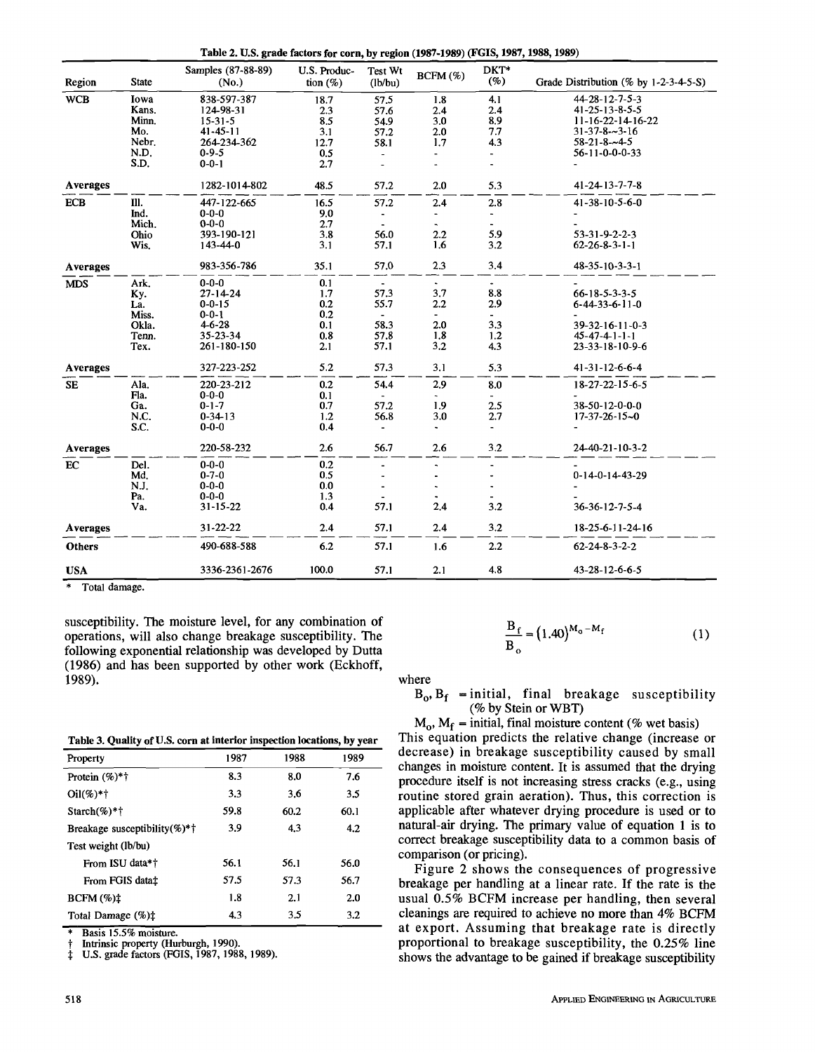**Table 2. U.S. grade factors for corn, by region (1987-1989) (FGIS, 1987,1988,1989)** 

|                 |              | Samples (87-88-89) | U.S. Produc- | Test Wt                  | BCFM (%)                 | DKT*                     |                                          |
|-----------------|--------------|--------------------|--------------|--------------------------|--------------------------|--------------------------|------------------------------------------|
| Region          | <b>State</b> | (No.)              | tion $(\%)$  | (lb/bu)                  |                          | (%)                      | Grade Distribution (% by $1-2-3-4-5-5$ ) |
| <b>WCB</b>      | Iowa         | 838-597-387        | 18.7         | 57.5                     | 1.8                      | 4.1                      | 44-28-12-7-5-3                           |
|                 | Kans.        | 124-98-31          | 2.3          | 57.6                     | 2.4                      | 2.4                      | 41-25-13-8-5-5                           |
|                 | Minn.        | $15 - 31 - 5$      | 8.5          | 54.9                     | 3.0                      | 8.9                      | $11 - 16 - 22 - 14 - 16 - 22$            |
|                 | Mo.          | $41 - 45 - 11$     | 3.1          | 57.2                     | 2.0                      | 7.7                      | $31 - 37 - 8 - 3 - 16$                   |
|                 | Nebr.        | 264-234-362        | 12.7         | 58.1                     | 1.7                      | 4.3                      | $58 - 21 - 8 - 4 - 5$                    |
|                 | N.D.         | $0 - 9 - 5$        | 0.5          |                          |                          |                          | 56-11-0-0-0-33                           |
|                 | S.D.         | $0 - 0 - 1$        | 2.7          |                          |                          |                          |                                          |
| Averages        |              | 1282-1014-802      | 48.5         | 57.2                     | 2.0                      | 5.3                      | 41-24-13-7-7-8                           |
| <b>ECB</b>      | III.         | 447-122-665        | 16.5         | 57.2                     | 2.4                      | 2.8                      | 41-38-10-5-6-0                           |
|                 | Ind.         | $0 - 0 - 0$        | 9.0          | $\blacksquare$           | $\overline{\phantom{a}}$ | $\overline{\phantom{a}}$ |                                          |
|                 | Mich.        | $0 - 0 - 0$        | 2.7          | $\blacksquare$           | $\blacksquare$           | $\blacksquare$           |                                          |
|                 | Ohio         | 393-190-121        | 3.8          | 56.0                     | 2.2                      | 5.9                      | $53 - 31 - 9 - 2 - 2 - 3$                |
|                 | Wis.         | 143-44-0           | 3.1          | 57.1                     | 1.6                      | 3.2                      | $62 - 26 - 8 - 3 - 1 - 1$                |
| Averages        |              | 983-356-786        | 35.1         | 57.0                     | 2.3                      | 3,4                      | $48 - 35 - 10 - 3 - 3 - 1$               |
| <b>MDS</b>      | Ark.         | $0 - 0 - 0$        | 0.1          | $\overline{\phantom{a}}$ | $\omega$                 | $\bullet$                |                                          |
|                 | Ky.          | $27 - 14 - 24$     | 1.7          | 57.3                     | 3.7                      | 8.8                      | $66 - 18 - 5 - 3 - 3 - 5$                |
|                 | La.          | $0 - 0 - 15$       | 0.2          | 55.7                     | 2.2                      | 2.9                      | $6 - 44 - 33 - 6 - 11 - 0$               |
|                 | Miss.        | $0 - 0 - 1$        | 0.2          | $\sim$                   | $\overline{\phantom{0}}$ | $\sim$                   |                                          |
|                 | Okla.        | $4 - 6 - 28$       | 0.1          | 58.3                     | 2.0                      | 3.3                      | 39-32-16-11-0-3                          |
|                 | Tenn.        | 35-23-34           | 0.8          | 57.8                     | 1.8                      | 1.2                      | $45 - 47 - 4 - 1 - 1 - 1$                |
|                 | Tex.         | 261-180-150        | 2.1          | 57.1                     | 3.2                      | 4.3                      | 23-33-18-10-9-6                          |
| <b>Averages</b> |              | 327-223-252        | 5.2          | 57.3                     | 3.1                      | 5.3                      | 41-31-12-6-6-4                           |
| <b>SE</b>       | Ala.         | 220-23-212         | 0.2          | 54.4                     | 2.9                      | 8.0                      | 18-27-22-15-6-5                          |
|                 | Fla.         | $0 - 0 - 0$        | 0.1          | $\blacksquare$           |                          | $\overline{\phantom{a}}$ |                                          |
|                 | Ga.          | $0 - 1 - 7$        | 0.7          | 57.2                     | 1.9                      | 2.5                      | 38-50-12-0-0-0                           |
|                 | N.C.         | $0 - 34 - 13$      | 1.2          | 56.8                     | 3.0                      | 2.7                      | $17 - 37 - 26 - 15 - 0$                  |
|                 | S.C.         | $0 - 0 - 0$        | 0.4          |                          | $\sim$                   | $\overline{\phantom{a}}$ |                                          |
| Averages        |              | 220-58-232         | 2.6          | 56.7                     | 2.6                      | 3.2                      | 24-40-21-10-3-2                          |
| EC              | Del.         | $0 - 0 - 0$        | 0.2          |                          |                          | ÷,                       |                                          |
|                 | Md.          | $0 - 7 - 0$        | 0.5          |                          |                          | $\ddot{ }$               | $0-14-0-14-43-29$                        |
|                 | N.J.         | $0 - 0 - 0$        | 0.0          |                          |                          |                          |                                          |
|                 | Pa.          | $0 - 0 - 0$        | 1.3          |                          |                          |                          |                                          |
|                 | Va.          | $31 - 15 - 22$     | 0.4          | 57.1                     | 2.4                      | 3.2                      | 36-36-12-7-5-4                           |
| <b>Averages</b> |              | 31-22-22           | 2.4          | 57.1                     | 2.4                      | 3.2                      | 18-25-6-11-24-16                         |
| <b>Others</b>   |              | 490-688-588        | 6.2          | 57.1                     | 1.6                      | 2.2                      | $62 - 24 - 8 - 3 - 2 - 2$                |
| <b>USA</b>      |              | 3336-2361-2676     | 100.0        | 57.1                     | 2.1                      | 4.8                      | 43-28-12-6-6-5                           |

Total damage.

susceptibility. The moisture level, for any combination of operations, will also change breakage susceptibility. The following exponential relationship was developed by Dutta (1986) and has been supported by other work (Eckhoff, 1989).

**Table 3. Quality of U.S. corn at interior inspection locations, by year** 

| --------                      |      |      | ----- |
|-------------------------------|------|------|-------|
| Property                      | 1987 | 1988 | 1989  |
| Protein $(\%)^*$ <sup>†</sup> | 8.3  | 8.0  | 7.6   |
| $Oil(\%)*†$                   | 3.3  | 3.6  | 3.5   |
| $Starch(\%)*†$                | 59.8 | 60.2 | 60.1  |
| Breakage susceptibility(%)*†  | 3.9  | 4.3  | 4.2   |
| Test weight (lb/bu)           |      |      |       |
| From ISU data*†               | 56.1 | 56.1 | 56.0  |
| From FGIS data <sup>†</sup>   | 57.5 | 57.3 | 56.7  |
| $BCFM \ (\%)\ddagger$         | 1.8  | 2.1  | 2.0   |
| Total Damage (%) <sup>+</sup> | 4.3  | 3.5  | 3.2   |

Basis 15.5% moisture.

Intrinsic property (Hurburgh, 1990).

U.S. grade factors (FGIS, 1987, 1988, 1989).

$$
\frac{B_f}{B_o} = (1.40)^{M_o - M_f}
$$
 (1)

where

 $B_0$ ,  $B_f$  = initial, final breakage susceptibility (% by Stein or WBT)

 $M_0$ ,  $M_f$  = initial, final moisture content (% wet basis) This equation predicts the relative change (increase or decrease) in breakage susceptibility caused by small changes in moisture content. It is assumed that the drying procedure itself is not increasing stress cracks (e.g., using routine stored grain aeration). Thus, this correction is applicable after whatever drying procedure is used or to natural-air drying. The primary value of equation 1 is to correct breakage susceptibility data to a common basis of comparison (or pricing).

Figure 2 shows the consequences of progressive breakage per handling at a linear rate. If the rate is the usual 0.5% BCFM increase per handling, then several cleanings are required to achieve no more than 4% BCFM at export. Assuming that breakage rate is directly proportional to breakage susceptibility, the 0.25% line shows the advantage to be gained if breakage susceptibility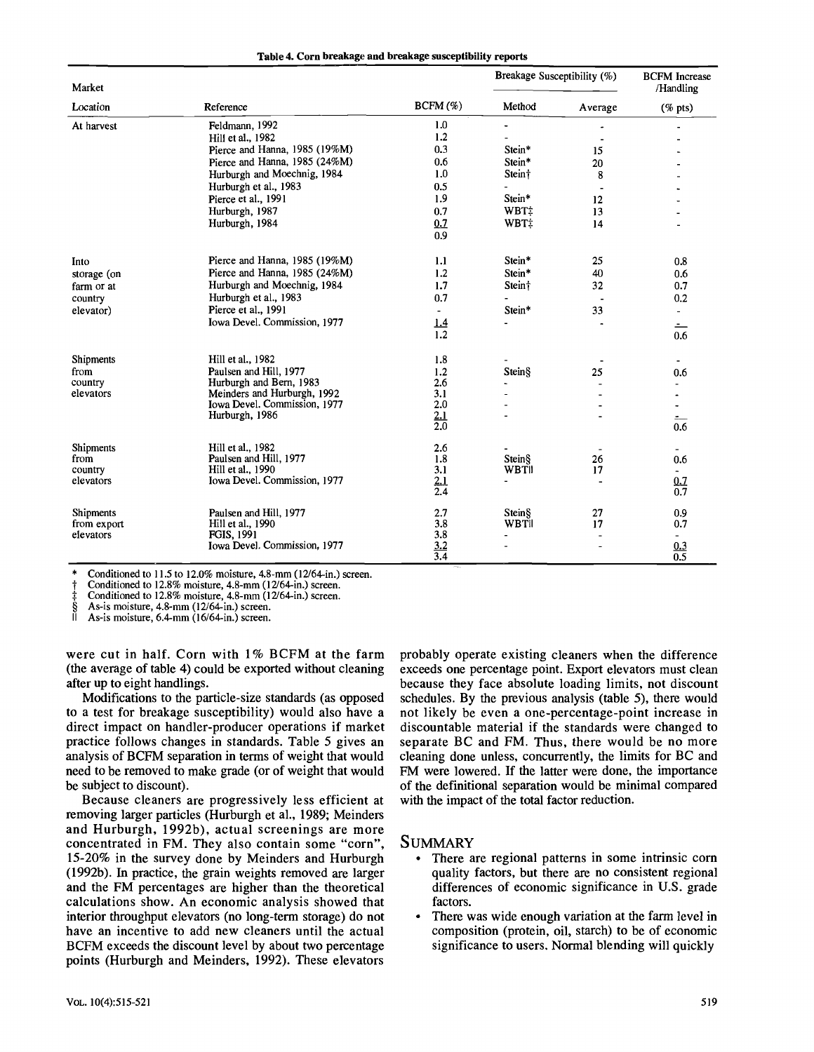|  |  | Table 4. Corn breakage and breakage susceptibility reports |  |  |  |
|--|--|------------------------------------------------------------|--|--|--|
|--|--|------------------------------------------------------------|--|--|--|

| Market      |                               |                   | Breakage Susceptibility (%) | <b>BCFM</b> Increase<br>/Handling |                                            |
|-------------|-------------------------------|-------------------|-----------------------------|-----------------------------------|--------------------------------------------|
| Location    | Reference                     | $BCFM(\%)$        | Method                      | Average                           | $(% \mathcal{L}_{0} \cap \mathcal{L}_{1})$ |
| At harvest  | Feldmann, 1992                | 1.0               | $\blacksquare$              |                                   |                                            |
|             | Hill et al., 1982             | 1.2               |                             |                                   |                                            |
|             | Pierce and Hanna, 1985 (19%M) | 0.3               | Stein*                      | 15                                |                                            |
|             | Pierce and Hanna, 1985 (24%M) | 0.6               | Stein*                      | 20                                |                                            |
|             | Hurburgh and Moechnig, 1984   | 1.0               | Stein†                      | 8                                 |                                            |
|             | Hurburgh et al., 1983         | 0.5               |                             | $\overline{\phantom{a}}$          |                                            |
|             | Pierce et al., 1991           | 1.9               | Stein*                      | 12                                |                                            |
|             | Hurburgh, 1987                | 0.7               | WBT:                        | 13                                |                                            |
|             | Hurburgh, 1984                | 0.7               | WBT‡                        | 14                                |                                            |
|             |                               | 0.9               |                             |                                   |                                            |
| Into        | Pierce and Hanna, 1985 (19%M) | 1.1               | Stein*                      | 25                                | 0.8                                        |
| storage (on | Pierce and Hanna, 1985 (24%M) | 1.2               | Stein*                      | 40                                | 0.6                                        |
| farm or at  | Hurburgh and Moechnig, 1984   | 1.7               | Stein†                      | 32                                | 0.7                                        |
| country     | Hurburgh et al., 1983         | 0.7               |                             | $\overline{\phantom{a}}$          | 0.2                                        |
| elevator)   | Pierce et al., 1991           |                   | Stein*                      | 33                                | $\blacksquare$                             |
|             | Iowa Devel. Commission, 1977  | 1.4               | L.                          |                                   | <u>- </u>                                  |
|             |                               | 1.2               |                             |                                   | 0.6                                        |
| Shipments   | Hill et al., 1982             | 1.8               |                             |                                   | $\overline{\phantom{a}}$                   |
| from        | Paulsen and Hill, 1977        | 1.2               | Stein§                      | 25                                | 0.6                                        |
| country     | Hurburgh and Bern, 1983       | 2.6               |                             |                                   | $\overline{\phantom{a}}$                   |
| elevators   | Meinders and Hurburgh, 1992   | 3.1               |                             |                                   |                                            |
|             | Iowa Devel. Commission, 1977  | 2.0               |                             |                                   |                                            |
|             | Hurburgh, 1986                | 2.1               |                             |                                   | ÷                                          |
|             |                               | 2.0               |                             |                                   | 0.6                                        |
| Shipments   | Hill et al., 1982             | 2.6               |                             |                                   |                                            |
| from        | Paulsen and Hill, 1977        | 1.8               | Stein§                      | 26                                | 0.6                                        |
| country     | Hill et al., 1990             | 3.1               | WBTII                       | 17                                |                                            |
| elevators   | Iowa Devel. Commission, 1977  | 2.1<br>2.4        | $\overline{\phantom{a}}$    |                                   | 0.7<br>$\overline{0.7}$                    |
| Shipments   | Paulsen and Hill, 1977        | 2.7               | Stein§                      | 27                                | 0.9                                        |
| from export | Hill et al., 1990             | 3.8               | <b>WBTII</b>                | 17                                | 0.7                                        |
| elevators   | <b>FGIS. 1991</b>             | 3.8               | $\blacksquare$              |                                   |                                            |
|             | Iowa Devel. Commission, 1977  | $\frac{3.2}{3.4}$ |                             |                                   | $\frac{0.3}{0.5}$                          |
|             |                               |                   |                             |                                   |                                            |

Conditioned to 11.5 to 12.0% moisture, 4.8-mm (12/64-in.) screen.

Conditioned to 12.8% moisture, 4.8-mm (12/64-in.) screen.

Conditioned to 12.8% moisture, 4.8-mm (12/64-in.) screen.

As-is moisture, 4.8-mm (12/64-in.) screen.

As-is moisture, 6.4-mm (16/64-in.) screen.

were cut in half. Corn with 1% BCFM at the farm (the average of table 4) could be exported without cleaning after up to eight handlings.

Modifications to the particle-size standards (as opposed to a test for breakage susceptibility) would also have a direct impact on handler-producer operations if market practice follows changes in standards. Table 5 gives an analysis of BCFM separation in terms of weight that would need to be removed to make grade (or of weight that would be subject to discount).

Because cleaners are progressively less efficient at removing larger particles (Hurburgh et al., 1989; Meinders and Hurburgh, 1992b), actual screenings are more concentrated in FM. They also contain some "corn", 15-20% in the survey done by Meinders and Hurburgh (1992b). In practice, the grain weights removed are larger and the FM percentages are higher than the theoretical calculations show. An economic analysis showed that interior throughput elevators (no long-term storage) do not have an incentive to add new cleaners until the actual BCFM exceeds the discount level by about two percentage points (Hurburgh and Meinders, 1992). These elevators probably operate existing cleaners when the difference exceeds one percentage point. Export elevators must clean because they face absolute loading limits, not discount schedules. By the previous analysis (table 5), there would not likely be even a one-percentage-point increase in discountable material if the standards were changed to separate BC and FM. Thus, there would be no more cleaning done unless, concurrently, the limits for BC and FM were lowered. If the latter were done, the importance of the definitional separation would be minimal compared with the impact of the total factor reduction.

#### **SUMMARY**

- There are regional patterns in some intrinsic corn quality factors, but there are no consistent regional differences of economic significance in U.S. grade factors.
- There was wide enough variation at the farm level in composition (protein, oil, starch) to be of economic significance to users. Normal blending will quickly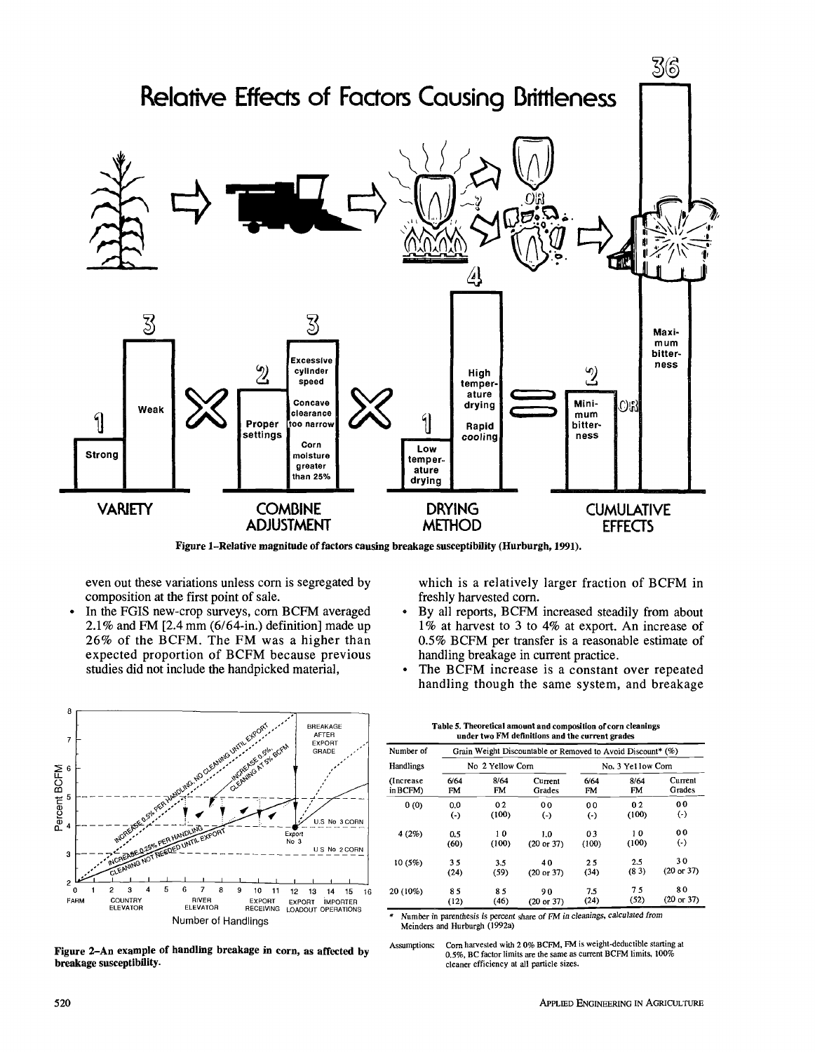

Figure 1-Relative magnitude of factors causing breakage susceptibility (Hurburgh, 1991).

even out these variations unless corn is segregated by composition at the first point of sale.

In the FGIS new-crop surveys, corn BCFM averaged  $\bullet$ 2.1% and FM [2.4 mm (6/64-in.) definition] made up 26% of the BCFM. The FM was a higher than expected proportion of BCFM because previous studies did not include the handpicked material,

which is a relatively larger fraction of BCFM in freshly harvested corn.

- By all reports, BCFM increased steadily from about 1% at harvest to 3 to 4% at export. An increase of 0.5% BCFM per transfer is a reasonable estimate of handling breakage in current practice.
- The BCFM increase is a constant over repeated handling though the same system, and breakage

**Table 5. Theoretical amount and composition of corn cleanings** 



Figure 2-An example of handling breakage in corn, as affected by breakage susceptibility.

| Number of  | Grain Weight Discountable or Removed to Avoid Discount* (%) |       |                |                |                  |                       |  |  |  |
|------------|-------------------------------------------------------------|-------|----------------|----------------|------------------|-----------------------|--|--|--|
| Handlings  | No 2 Yellow Corn                                            |       |                |                | No. 3 Yellow Com |                       |  |  |  |
| (Increase) | 6/64                                                        | 8/64  | Current        | 6/64           | 8/64             | Current               |  |  |  |
| in BCFM)   | FM                                                          | FM    | Grades         | FM             | FM.              | Grades                |  |  |  |
| 0(0)       | 0 <sub>0</sub>                                              | 02    | 0 <sub>0</sub> | 0 <sub>0</sub> | 0 <sub>2</sub>   | 0 <sub>0</sub>        |  |  |  |
|            | $(\cdot)$                                                   | (100) | $(\cdot)$      | $(\cdot)$      | (100)            | $(\cdot)$             |  |  |  |
| 4(2%)      | 0.5                                                         | 10    | 1.0            | 03             | 10               | 0 <sub>0</sub>        |  |  |  |
|            | (60)                                                        | (100) | (20 or 37)     | (100)          | (100)            | $(\cdot)$             |  |  |  |
| 10(5%)     | 35                                                          | 3.5   | 40             | 25             | 2.5              | 30                    |  |  |  |
|            | (24)                                                        | (59)  | (20 or 37)     | (34)           | (83)             | $(20 \text{ or } 37)$ |  |  |  |
| 20 (10%)   | 85                                                          | 85    | 90             | 75             | 75               | 80                    |  |  |  |
|            | (12)                                                        | (46)  | (20 or 37)     | (24)           | (52)             | $(20 \text{ or } 37)$ |  |  |  |

Number in parenthesis is percent share of FM in cleanings, calculated from Meinders and Hurburgh (1992a)

Assumptions: Com harvested with 2 0% BCFM, FM is weight-deductible starting at 0.5%, BC factor limits are *the* same as current BCFM limits, 100% cleaner efficiency at all particle sizes.